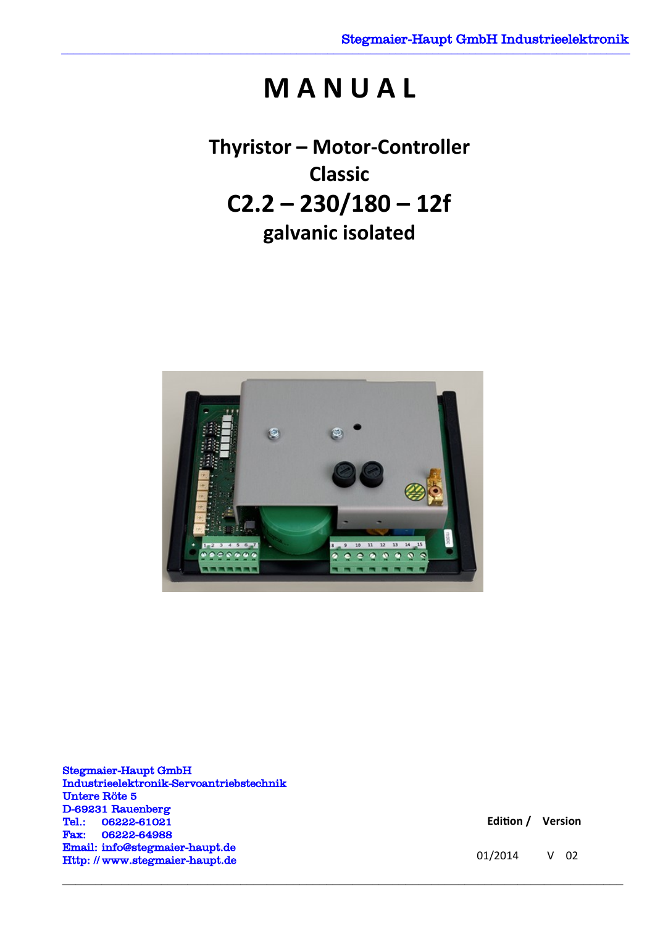# **M A N U A L**

**Thyristor – Motor-Controller Classic C2.2 – 230/180 – 12f galvanic isolated** 



**\_\_\_\_\_\_\_\_\_\_\_\_\_\_\_\_\_\_\_\_\_\_\_\_\_\_\_\_\_\_\_\_\_\_\_\_\_\_\_\_\_\_\_\_\_\_\_\_\_\_\_\_\_\_\_\_\_\_\_\_\_\_\_\_\_\_\_\_\_\_\_\_\_\_\_\_\_\_\_\_\_\_\_\_\_** 

Stegmaier-Haupt GmbH Industrieelektronik-Servoantriebstechnik Untere Röte 5 D-69231 Rauenberg Tel.: 06222-61021 Fax: 06222-64988 Email: [info@stegmaier-haupt.de](mailto:info@stegmaier-haupt.de) Http: // [www.stegmaier-haupt.de](http://www.stegmaier-haupt.de/)

**Edition / Version**  01/2014 V 02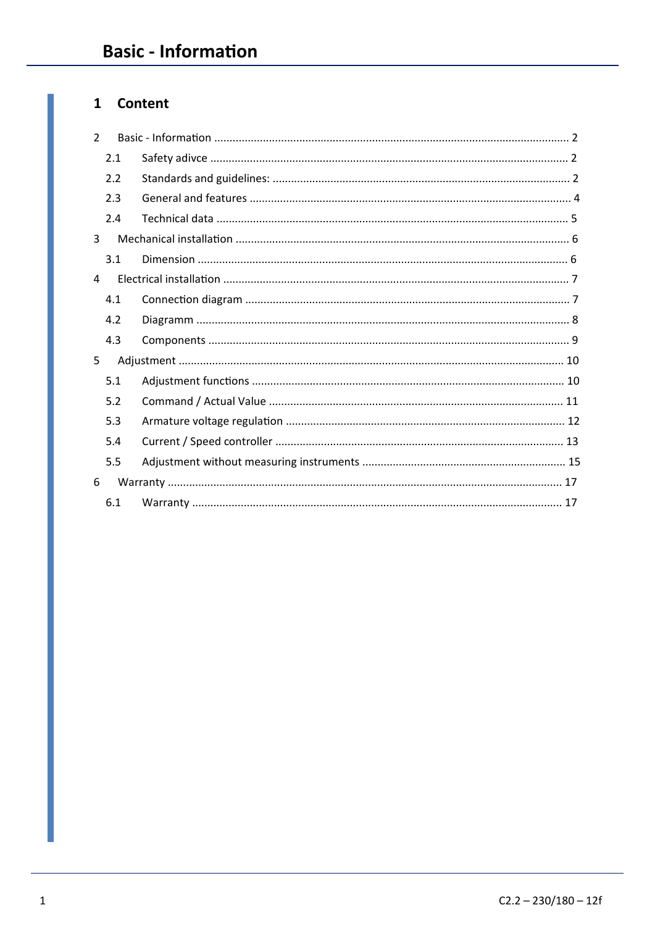### 1 Content

| $\mathcal{P}$  |     |  |  |  |
|----------------|-----|--|--|--|
|                | 2.1 |  |  |  |
|                | 2.2 |  |  |  |
|                | 2.3 |  |  |  |
|                | 2.4 |  |  |  |
| 3              |     |  |  |  |
|                | 3.1 |  |  |  |
| $\overline{A}$ |     |  |  |  |
|                | 4.1 |  |  |  |
|                | 4.2 |  |  |  |
|                | 4.3 |  |  |  |
| 5              |     |  |  |  |
|                | 5.1 |  |  |  |
|                | 5.2 |  |  |  |
|                | 5.3 |  |  |  |
|                | 5.4 |  |  |  |
|                | 5.5 |  |  |  |
| 6              |     |  |  |  |
|                | 6.1 |  |  |  |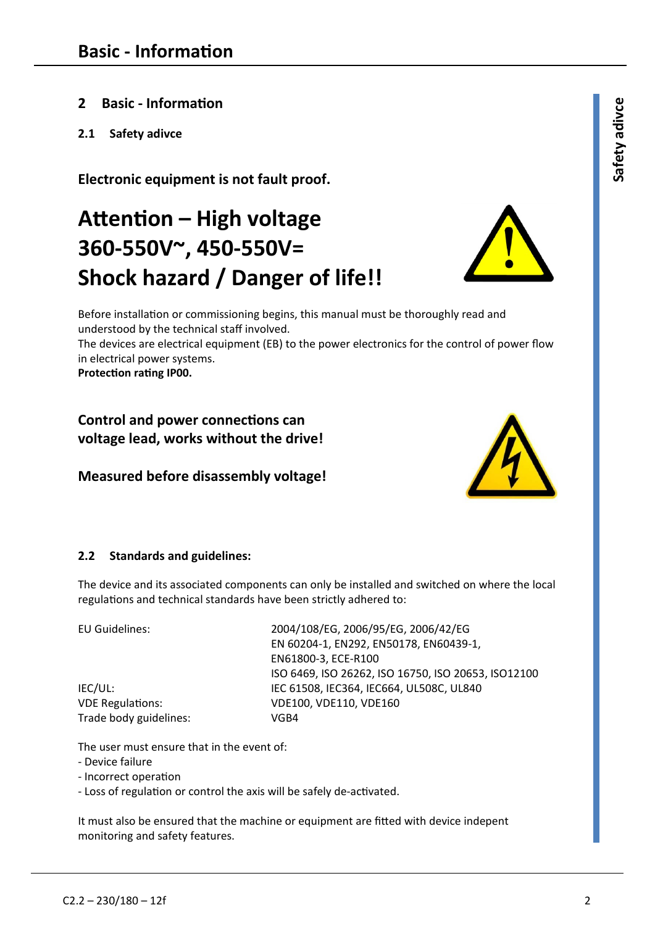- **2 Basic Information <sup>e</sup>**
- **2.1 Safety adivce**

**Electronic equipment is not fault proof.** 

## **Attention – High voltage 360-550V~, 450-550V= Shock hazard / Danger of life!!**



Before installation or commissioning begins, this manual must be thoroughly read and understood by the technical staff involved. The devices are electrical equipment (EB) to the power electronics for the control of power flow

in electrical power systems. **Protection rating IP00.** 

**Control and power connections can voltage lead, works without the drive!** 

**Measured before disassembly voltage!** 



#### **2.2 Standards and guidelines:**

The device and its associated components can only be installed and switched on where the local regulations and technical standards have been strictly adhered to:

Trade body guidelines: VGB4

EU Guidelines: 2004/108/EG, 2006/95/EG, 2006/42/EG EN 60204-1, EN292, EN50178, EN60439-1, EN61800-3, ECE-R100 ISO 6469, ISO 26262, ISO 16750, ISO 20653, ISO12100 IEC/UL: IEC 61508, IEC364, IEC664, UL508C, UL840 VDE Regulations: VDE100, VDE110, VDE160

The user must ensure that in the event of:

- Device failure
- Incorrect operation
- Loss of regulation or control the axis will be safely de-activated.

It must also be ensured that the machine or equipment are fitted with device indepent monitoring and safety features.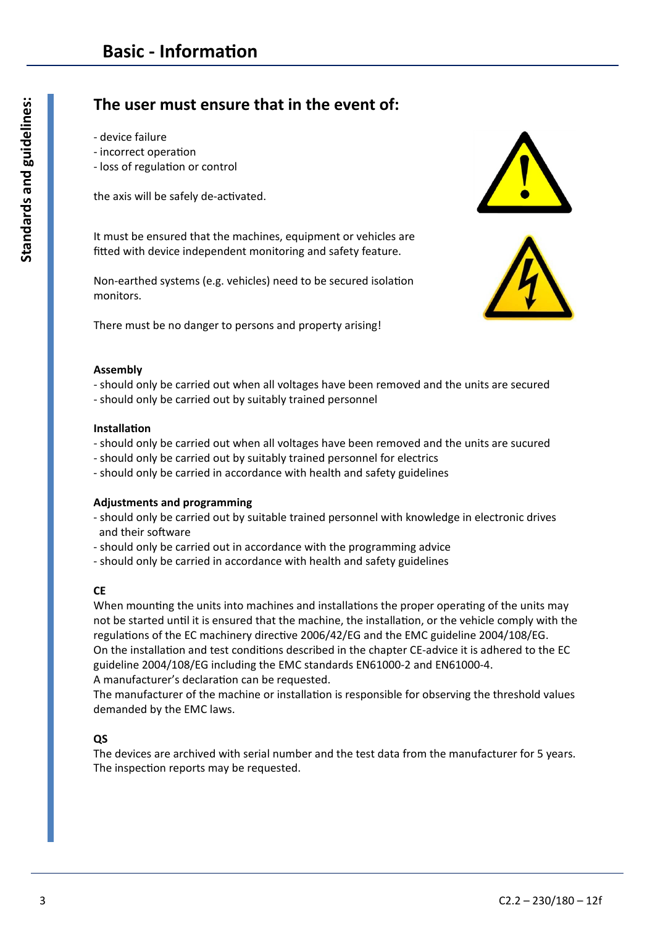### **The user must ensure that in the event of:**

- device failure
- incorrect operation
- loss of regulation or control

the axis will be safely de-activated.

It must be ensured that the machines, equipment or vehicles are fitted with device independent monitoring and safety feature.

Non-earthed systems (e.g. vehicles) need to be secured isolation monitors.

There must be no danger to persons and property arising!



- should only be carried out when all voltages have been removed and the units are secured
- should only be carried out by suitably trained personnel

#### **Installation**

- should only be carried out when all voltages have been removed and the units are sucured
- should only be carried out by suitably trained personnel for electrics
- should only be carried in accordance with health and safety guidelines

#### **Adjustments and programming**

- should only be carried out by suitable trained personnel with knowledge in electronic drives and their software
- should only be carried out in accordance with the programming advice
- should only be carried in accordance with health and safety guidelines

#### **CE**

When mounting the units into machines and installations the proper operating of the units may not be started until it is ensured that the machine, the installation, or the vehicle comply with the regulations of the EC machinery directive 2006/42/EG and the EMC guideline 2004/108/EG. On the installation and test conditions described in the chapter CE-advice it is adhered to the EC guideline 2004/108/EG including the EMC standards EN61000-2 and EN61000-4.

A manufacturer's declaration can be requested.

The manufacturer of the machine or installation is responsible for observing the threshold values demanded by the EMC laws.

#### **QS**

The devices are archived with serial number and the test data from the manufacturer for 5 years. The inspection reports may be requested.



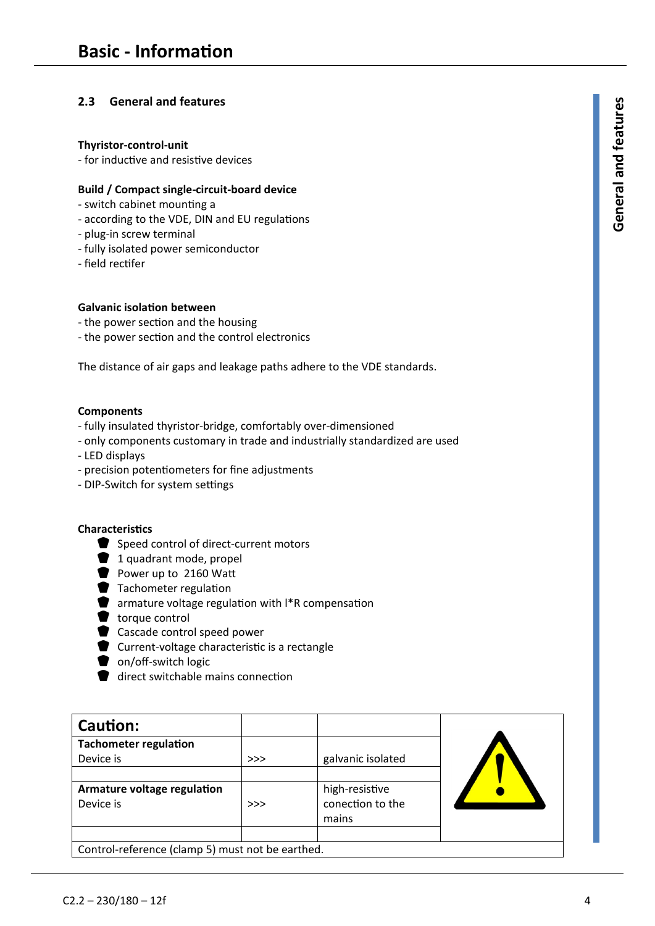#### **2.3 General and features <sup>s</sup>**

#### **Thyristor-control-unit**

- for inductive and resistive devices

#### **Build / Compact single-circuit-board device**

- switch cabinet mounting a
- according to the VDE, DIN and EU regulations
- plug-in screw terminal
- fully isolated power semiconductor
- field rectifer

#### **Galvanic isolation between**

- the power section and the housing
- the power section and the control electronics

The distance of air gaps and leakage paths adhere to the VDE standards.

#### **Components**

- fully insulated thyristor-bridge, comfortably over-dimensioned
- only components customary in trade and industrially standardized are used
- LED displays
- precision potentiometers for fine adjustments
- DIP-Switch for system settings

#### **Characteristics**

- Speed control of direct-current motors
- 1 quadrant mode, propel
- Power up to 2160 Watt
- **Tachometer regulation**
- armature voltage regulation with l\*R compensation
- torque control
- Cascade control speed power
- Current-voltage characteristic is a rectangle
- **O** on/off-switch logic
- direct switchable mains connection

| Caution:                                         |    |                   |  |  |  |
|--------------------------------------------------|----|-------------------|--|--|--|
| <b>Tachometer regulation</b>                     |    |                   |  |  |  |
| Device is                                        | >> | galvanic isolated |  |  |  |
|                                                  |    |                   |  |  |  |
| Armature voltage regulation                      |    | high-resistive    |  |  |  |
| Device is                                        | >> | conection to the  |  |  |  |
|                                                  |    | mains             |  |  |  |
|                                                  |    |                   |  |  |  |
| Control-reference (clamp 5) must not be earthed. |    |                   |  |  |  |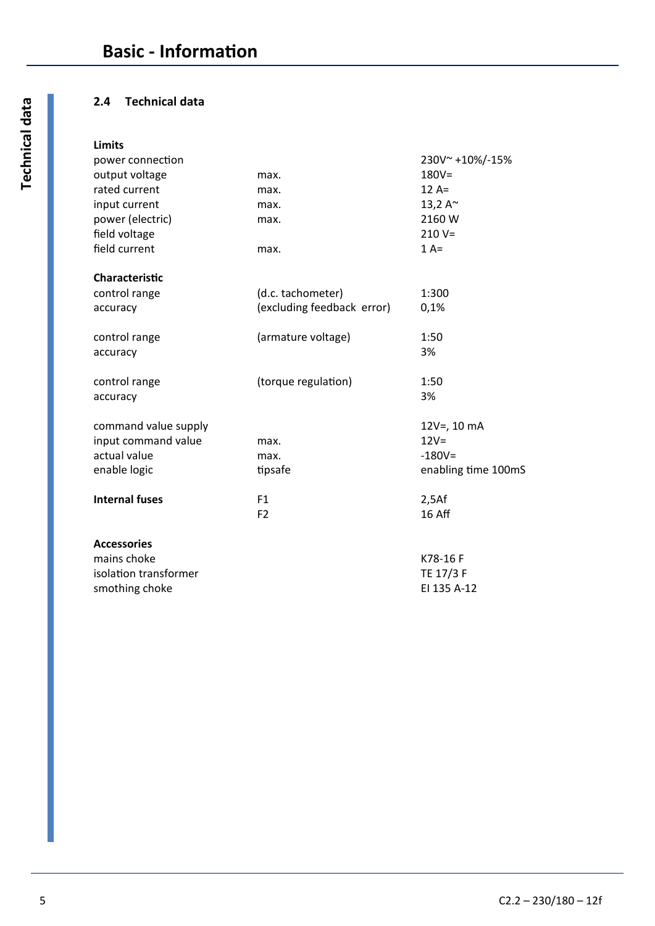#### **2.4 Technical data**

| <b>Limits</b>         |                            |                       |
|-----------------------|----------------------------|-----------------------|
| power connection      |                            | 230V~+10%/-15%        |
| output voltage        | max.                       | $180V =$              |
| rated current         | max.                       | $12A=$                |
| input current         | max.                       | 13,2 A $\sim$         |
| power (electric)      | max.                       | 2160 W                |
| field voltage         |                            | $210 V =$             |
| field current         | max.                       | $1A=$                 |
| Characteristic        |                            |                       |
| control range         | (d.c. tachometer)          | 1:300                 |
| accuracy              | (excluding feedback error) | 0,1%                  |
| control range         | (armature voltage)         | 1:50                  |
| accuracy              |                            | 3%                    |
| control range         | (torque regulation)        | 1:50                  |
| accuracy              |                            | 3%                    |
| command value supply  |                            | $12V = 10 \text{ mA}$ |
| input command value   | max.                       | $12V =$               |
| actual value          | max.                       | $-180V =$             |
| enable logic          | tipsafe                    | enabling time 100mS   |
| <b>Internal fuses</b> | F1                         | 2,5Af                 |
|                       | F <sub>2</sub>             | 16 Aff                |
| <b>Accessories</b>    |                            |                       |
| mains choke           |                            | K78-16F               |
| isolation transformer |                            | TE 17/3 F             |

smothing choke EI 135 A-12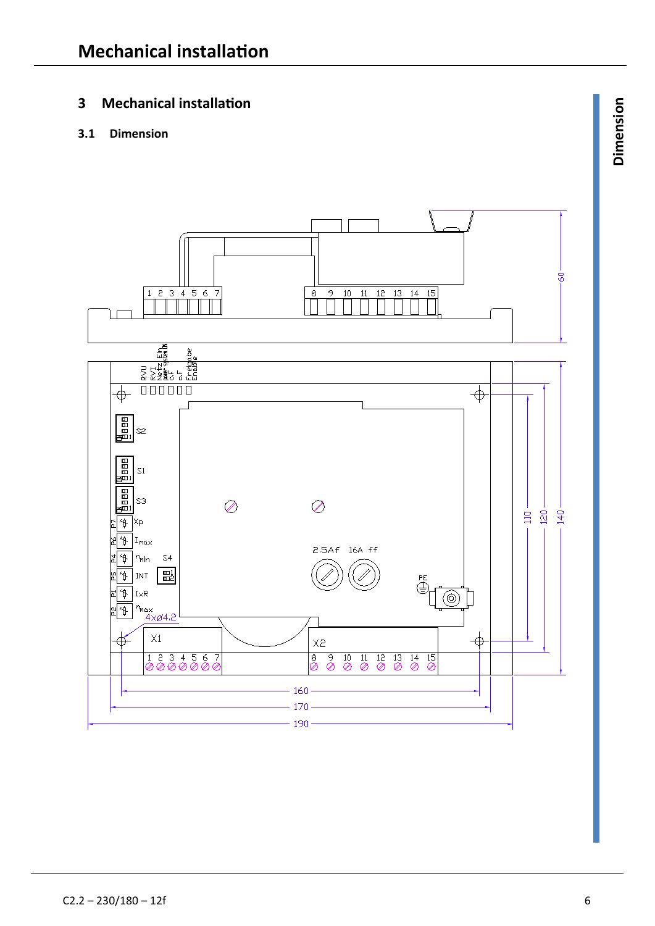### **3 Mechanical installation <sup>n</sup>**

#### **3.1 Dimension**

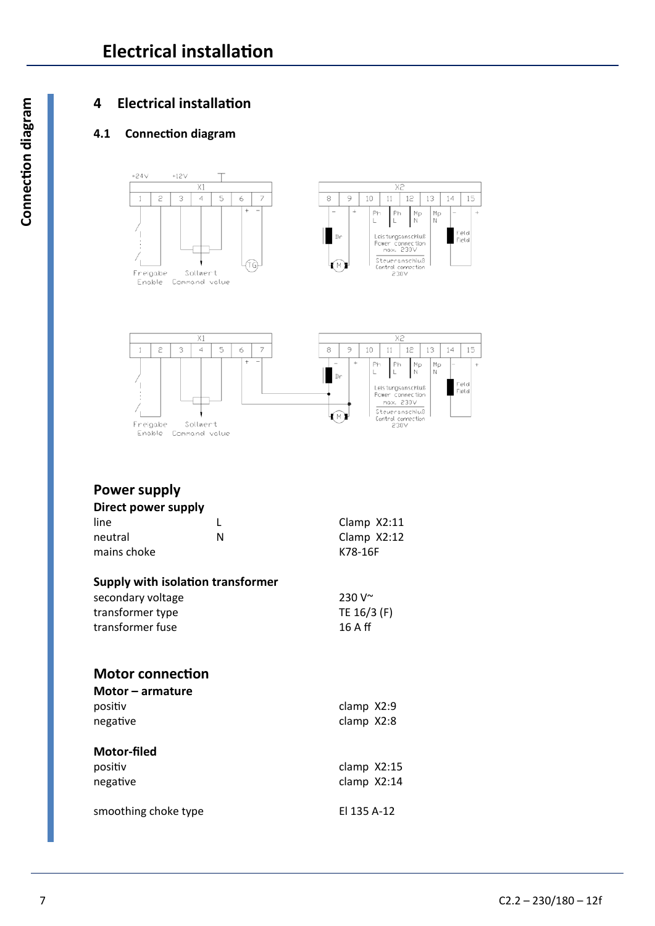### **4 Electrical installation**

### **4.1 Connection diagram**







### **Power supply**

| Direct power supply               |   |               |  |  |  |
|-----------------------------------|---|---------------|--|--|--|
| line                              | L | Clamp $X2:11$ |  |  |  |
| neutral                           | N | Clamp $X2:12$ |  |  |  |
| mains choke                       |   | K78-16F       |  |  |  |
| Supply with isolation transformer |   |               |  |  |  |
| secondary voltage                 |   | $230V^{\sim}$ |  |  |  |
| transformer type                  |   | TE 16/3 (F)   |  |  |  |
| transformer fuse                  |   | 16 A ff       |  |  |  |
| <b>Motor connection</b>           |   |               |  |  |  |
| Motor – armature                  |   |               |  |  |  |
| positiv                           |   | clamp X2:9    |  |  |  |
| negative                          |   | clamp X2:8    |  |  |  |
| Motor-filed                       |   |               |  |  |  |
| positiv                           |   | clamp $X2:15$ |  |  |  |
| negative                          |   | clamp $X2:14$ |  |  |  |
| smoothing choke type              |   | El 135 A-12   |  |  |  |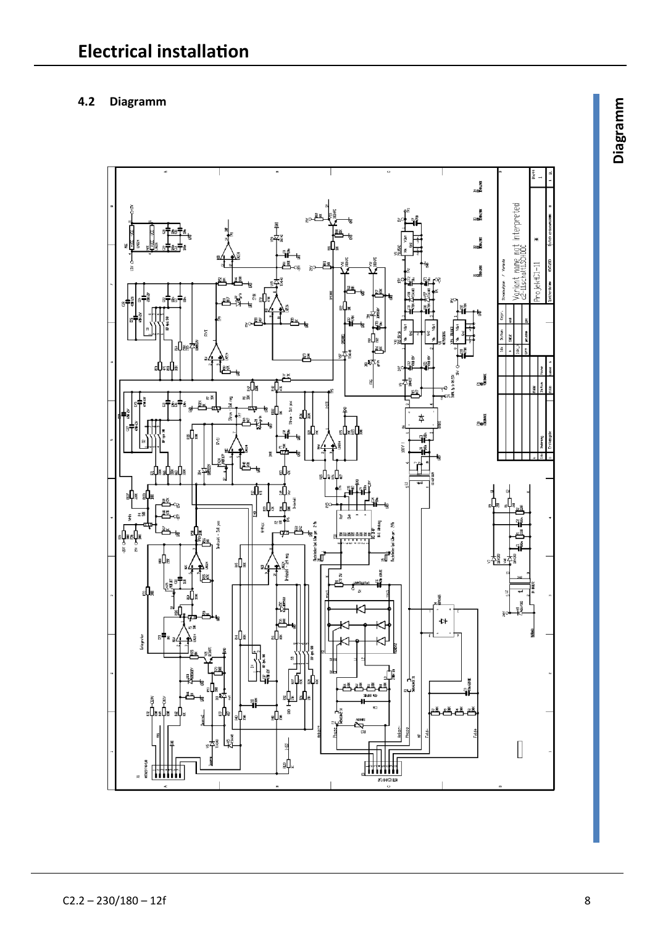### **4.2 Diagramm m**



**Dia gra m**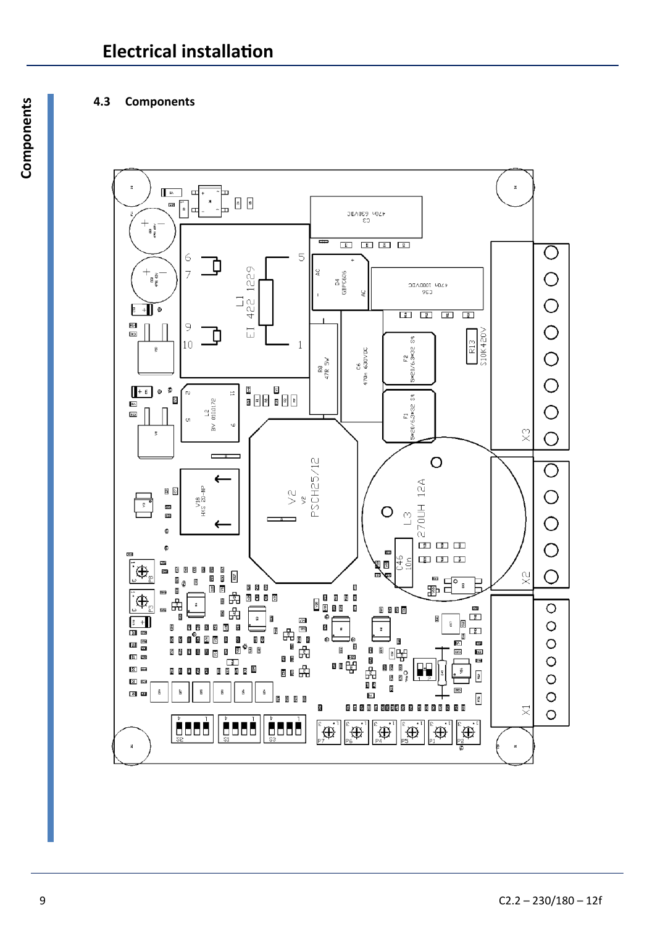### **4.3 Components**

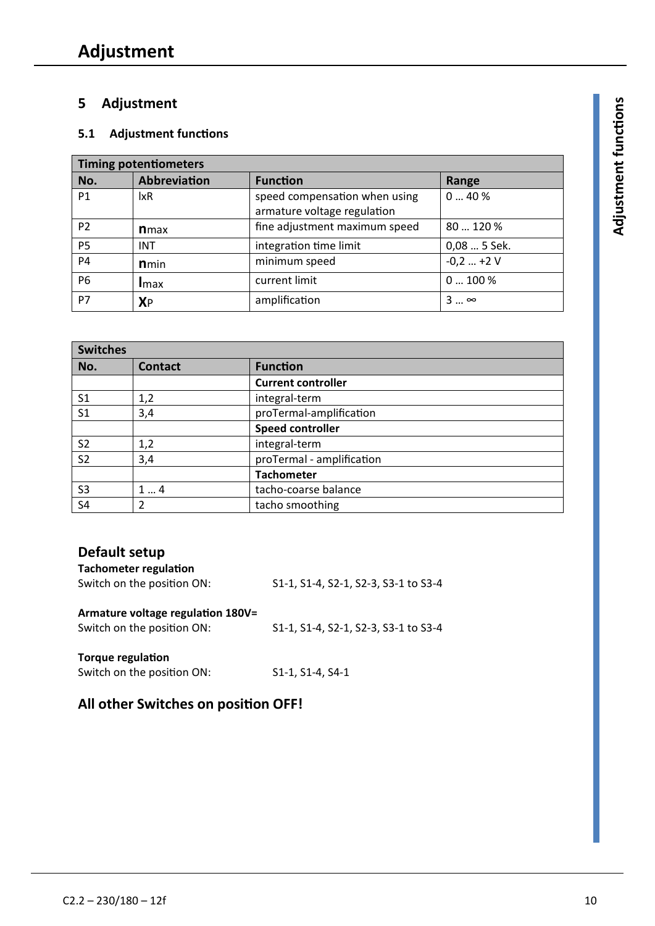### **5 Adjustment**

### **5.1 Adjustment functions**

| Timing potentiometers |                   |                                                              |                  |  |  |
|-----------------------|-------------------|--------------------------------------------------------------|------------------|--|--|
| No.                   | Abbreviation      | <b>Function</b>                                              | Range            |  |  |
| <b>P1</b>             | $l$ <sub>xR</sub> | speed compensation when using<br>armature voltage regulation | 040%             |  |  |
| P <sub>2</sub>        | <b>n</b> max      | fine adjustment maximum speed                                | 80  120 %        |  |  |
| <b>P5</b>             | <b>INT</b>        | integration time limit                                       | 0,08  5 Sek.     |  |  |
| P <sub>4</sub>        | <b>n</b> min      | minimum speed                                                | $-0.2$ +2 V      |  |  |
| <b>P6</b>             | <b>I</b> max      | current limit                                                | $0100\%$         |  |  |
| P7                    | <b>XP</b>         | amplification                                                | $3 \dots \infty$ |  |  |

| <b>Switches</b> |                |                           |  |  |
|-----------------|----------------|---------------------------|--|--|
| No.             | <b>Contact</b> | <b>Function</b>           |  |  |
|                 |                | <b>Current controller</b> |  |  |
| S <sub>1</sub>  | 1,2            | integral-term             |  |  |
| S <sub>1</sub>  | 3,4            | proTermal-amplification   |  |  |
|                 |                | <b>Speed controller</b>   |  |  |
| S <sub>2</sub>  | 1,2            | integral-term             |  |  |
| S <sub>2</sub>  | 3,4            | proTermal - amplification |  |  |
|                 |                | <b>Tachometer</b>         |  |  |
| S <sub>3</sub>  | 14             | tacho-coarse balance      |  |  |
| S <sub>4</sub>  | 2              | tacho smoothing           |  |  |

### **Default setup**

| <b>Tachometer regulation</b>      |                                      |
|-----------------------------------|--------------------------------------|
| Switch on the position ON:        | S1-1, S1-4, S2-1, S2-3, S3-1 to S3-4 |
| Armature voltage regulation 180V= |                                      |
| Switch on the position ON:        | S1-1, S1-4, S2-1, S2-3, S3-1 to S3-4 |
| <b>Torque regulation</b>          |                                      |

### Switch on the position ON: S1-1, S1-4, S4-1

## **All other Switches on position OFF!**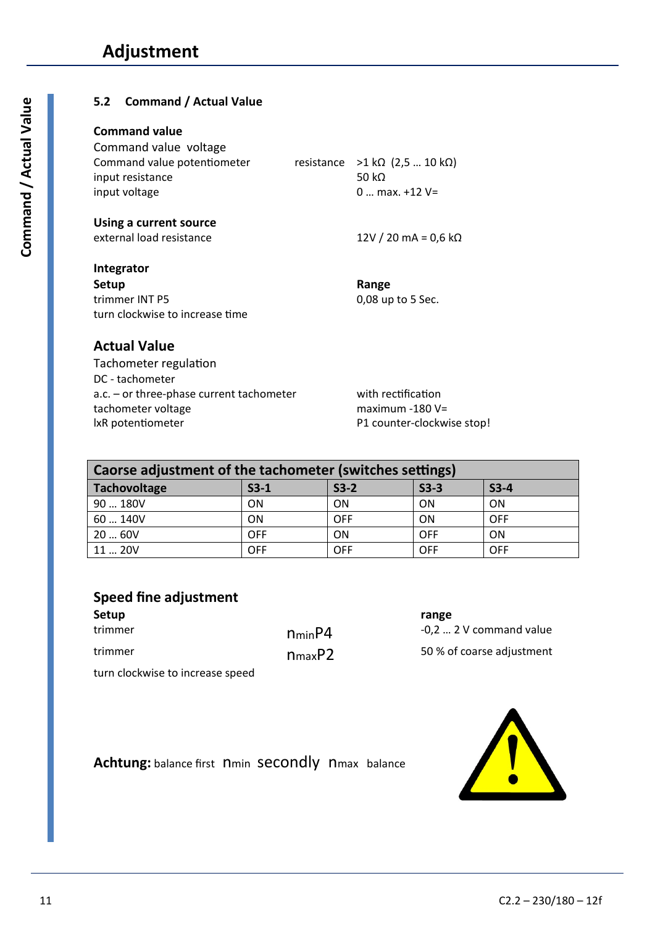### **5.2 Command / Actual Value**

#### **Command value**

| Command value voltage       |                                                  |
|-----------------------------|--------------------------------------------------|
| Command value potentiometer | resistance $>1$ k $\Omega$ (2,5  10 k $\Omega$ ) |
| input resistance            | 50 kQ                                            |
| input voltage               | $0  max.+12 V=$                                  |
|                             |                                                  |

#### **Using a current source**

external load resistance 12V / 20 mA = 0,6 kΩ

#### **Integrator**

Setup **Range Range** trimmer INT P5 0,08 up to 5 Sec. turn clockwise to increase time

#### **Actual Value**

Tachometer regulation DC - tachometer a.c. – or three-phase current tachometer with rectification tachometer voltage maximum -180 V= lxR potentiometer **P1** counter-clockwise stop!

| Caorse adjustment of the tachometer (switches settings) |            |            |            |            |  |  |
|---------------------------------------------------------|------------|------------|------------|------------|--|--|
| Tachovoltage                                            | $S3-1$     | $S3-2$     | $S3-3$     | $S3-4$     |  |  |
| 90  180V                                                | ON         | ON         | ON         | ON         |  |  |
| 60140V                                                  | ON         | <b>OFF</b> | <b>ON</b>  | <b>OFF</b> |  |  |
| 2060V                                                   | <b>OFF</b> | ON         | <b>OFF</b> | ON         |  |  |
| 1120V                                                   | <b>OFF</b> | <b>OFF</b> | <b>OFF</b> | <b>OFF</b> |  |  |

### **Speed fine adjustment**

turn clockwise to increase speed

**Setup range** 

trimmer  $n_{min}P4$  -0,2 ... 2 V command value trimmer **nmaxP2** 50 % of coarse adjustment

Achtung: balance first nmin Secondly nmax balance



**Com**

**mand**

**/Actu**

**al V**

**alu e**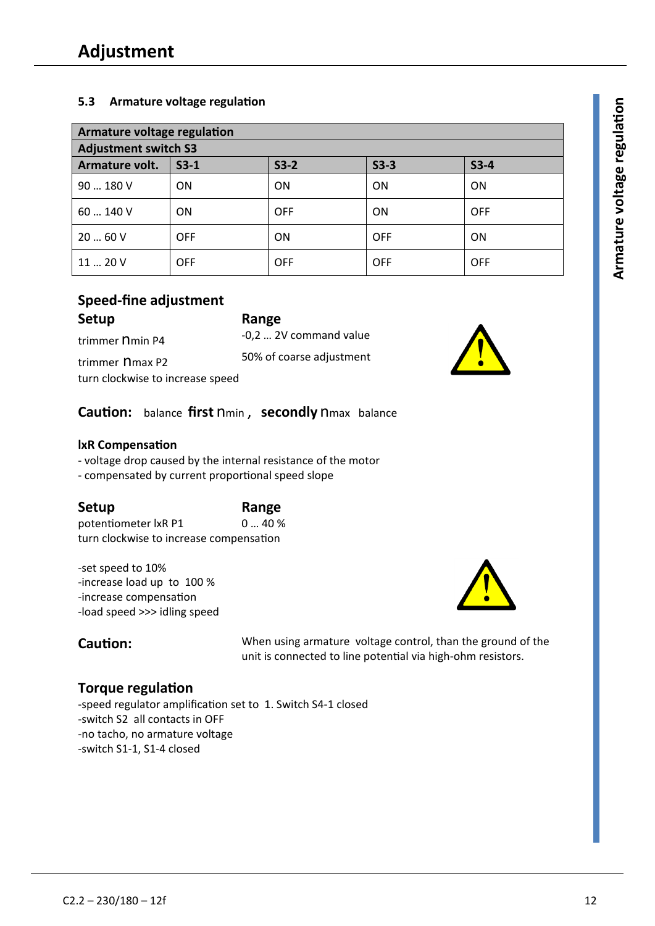| Armature voltage regulation |                                      |            |            |            |  |  |  |
|-----------------------------|--------------------------------------|------------|------------|------------|--|--|--|
|                             | <b>Adjustment switch S3</b>          |            |            |            |  |  |  |
| Armature volt.              | $S3-2$<br>$S3-3$<br>$S3-1$<br>$S3-4$ |            |            |            |  |  |  |
| 90  180 V                   | ON                                   | <b>ON</b>  | ON         | ON         |  |  |  |
| 60140V                      | ON                                   | <b>OFF</b> | ON         | <b>OFF</b> |  |  |  |
| 2060V                       | <b>OFF</b>                           | <b>ON</b>  | <b>OFF</b> | ON         |  |  |  |
| 1120V                       | <b>OFF</b>                           | <b>OFF</b> | <b>OFF</b> | <b>OFF</b> |  |  |  |

### **Speed-fine adjustment**  Setup **Range**

trimmer **n**min P4 -0,2 ... 2V command value trimmer  $n_{\text{max P2}}$  50% of coarse adjustment

turn clockwise to increase speed

### **Caution:** balance **first** nmin , **secondly** nmax balance

#### **lxR Compensation**

- voltage drop caused by the internal resistance of the motor

- compensated by current proportional speed slope

| Setup                                   | Range   |
|-----------------------------------------|---------|
| potentiometer IxR P1                    | $040\%$ |
| turn clockwise to increase compensation |         |

-set speed to 10% -increase load up to 100 % -increase compensation -load speed >>> idling speed

**Caution:** When using armature voltage control, than the ground of the unit is connected to line potential via high-ohm resistors.

### **Torque regulation**

-speed regulator amplification set to 1. Switch S4-1 closed -switch S2 all contacts in OFF -no tacho, no armature voltage -switch S1-1, S1-4 closed



**tio**

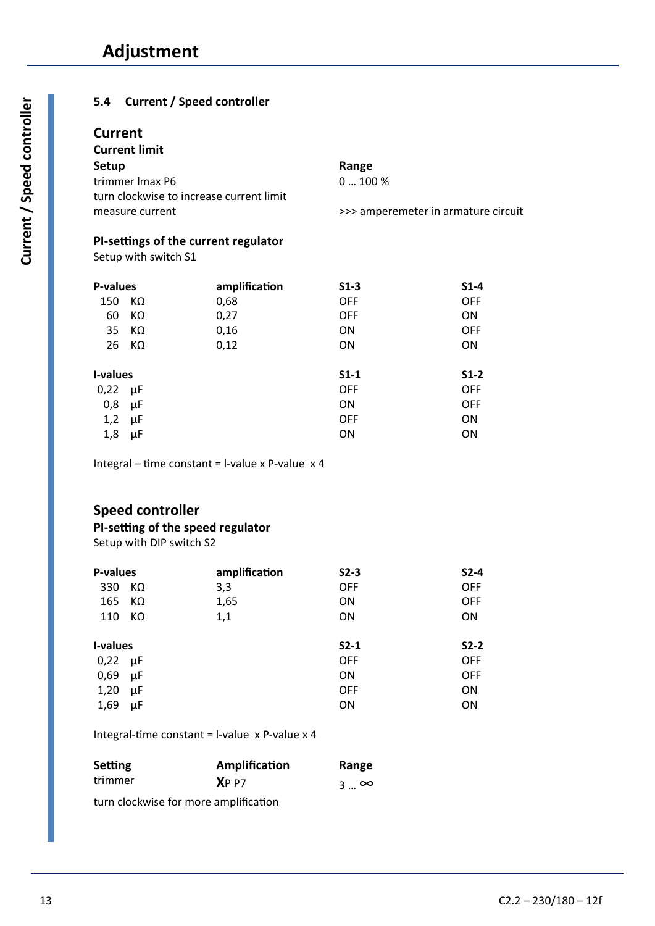|                 |                      | 5.4 Current / Speed controller                        |            |                                     |
|-----------------|----------------------|-------------------------------------------------------|------------|-------------------------------------|
| <b>Current</b>  |                      |                                                       |            |                                     |
|                 | <b>Current limit</b> |                                                       |            |                                     |
| <b>Setup</b>    |                      |                                                       | Range      |                                     |
|                 | trimmer Imax P6      |                                                       | 0100%      |                                     |
|                 |                      | turn clockwise to increase current limit              |            |                                     |
|                 | measure current      |                                                       |            | >>> amperemeter in armature circuit |
| <b>P-values</b> | Setup with switch S1 | PI-settings of the current regulator<br>amplification | $S1-3$     | $S1-4$                              |
| 150             | ΚΩ                   | 0,68                                                  | <b>OFF</b> | <b>OFF</b>                          |
| 60              | ΚΩ                   | 0,27                                                  | <b>OFF</b> | ON                                  |
| 35              | ΚΩ                   | 0,16                                                  | ON         | <b>OFF</b>                          |
| 26              | KΩ                   | 0,12                                                  | ON         | ON                                  |
|                 |                      |                                                       |            |                                     |
| I-values        |                      |                                                       | $S1-1$     | $S1-2$                              |
| 0,22            | - µF                 |                                                       | <b>OFF</b> | <b>OFF</b>                          |
| 0,8             | $\mu$ F              |                                                       | ON         | <b>OFF</b>                          |
| 1,2             | μF                   |                                                       | <b>OFF</b> | ON                                  |

1,8 µF ON ON

Integral – time constant = l-value x P-value x 4

### **Speed controller**

### **PI-setting of the speed regulator**

Setup with DIP switch S2

| <b>P-values</b> |    | amplification | $S2-3$     | $S2-4$     |
|-----------------|----|---------------|------------|------------|
| 330             | ΚΩ | 3,3           | <b>OFF</b> | <b>OFF</b> |
| 165             | KΩ | 1,65          | <b>ON</b>  | <b>OFF</b> |
| 110             | KΩ | 1,1           | ON         | ON         |
|                 |    |               |            |            |
| I-values        |    |               | $S2-1$     | $S2-2$     |
| 0,22            | μF |               | <b>OFF</b> | <b>OFF</b> |
| 0,69            | μF |               | ΟN         | <b>OFF</b> |
| 1,20            | μF |               | <b>OFF</b> | ON         |

Integral-time constant = l-value x P-value x 4

| <b>Setting</b> | Amplification                         | Range            |
|----------------|---------------------------------------|------------------|
| trimmer        | XPP                                   | $3 \dots \infty$ |
|                | turn clockwise for more amplification |                  |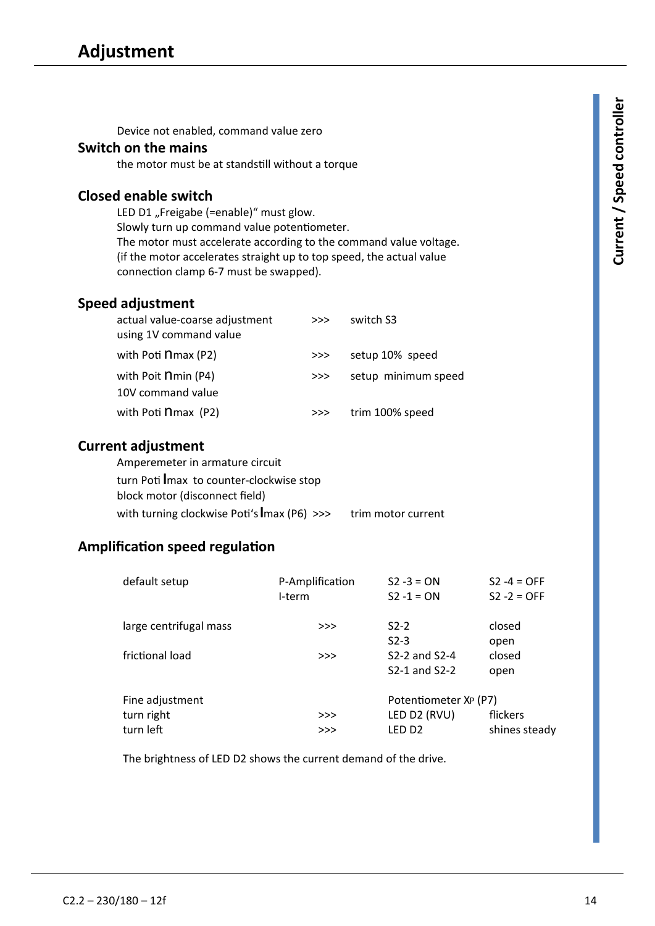Device not enabled, command value zero

#### **Switch on the mains**

the motor must be at standstill without a torque

#### **Closed enable switch**

LED D1 "Freigabe (=enable)" must glow. Slowly turn up command value potentiometer. The motor must accelerate according to the command value voltage. (if the motor accelerates straight up to top speed, the actual value connection clamp 6-7 must be swapped).

### **Speed adjustment**

| actual value-coarse adjustment<br>using 1V command value | >>  | switch S3           |
|----------------------------------------------------------|-----|---------------------|
| with Poti <b>N</b> max (P2)                              | >>> | setup 10% speed     |
| with Poit nmin (P4)                                      | >>> | setup minimum speed |
| 10V command value                                        |     |                     |
| with Poti <b>N</b> max (P2)                              | >>> | trim 100% speed     |

#### **Current adjustment**

| Amperemeter in armature circuit                                |  |
|----------------------------------------------------------------|--|
| turn Poti Imax to counter-clockwise stop                       |  |
| block motor (disconnect field)                                 |  |
| with turning clockwise Poti's Imax (P6) >>> trim motor current |  |

### **Amplification speed regulation**

| default setup          | P-Amplification<br>I-term | $S2 - 3 = ON$<br>$S2 - 1 = ON$ | $S2 - 4 = OFF$<br>$S2 - 2 = OFF$ |
|------------------------|---------------------------|--------------------------------|----------------------------------|
| large centrifugal mass | >>                        | $S2-2$                         | closed                           |
|                        |                           | $S2-3$                         | open                             |
| frictional load        | >>                        | $S2-2$ and $S2-4$              | closed                           |
|                        |                           | S2-1 and S2-2                  | open                             |
| Fine adjustment        |                           | Potentiometer XP (P7)          |                                  |
| turn right             | >>                        | LED D2 (RVU)                   | flickers                         |
| turn left              | >>                        | LFD D2                         | shines steady                    |

The brightness of LED D2 shows the current demand of the drive.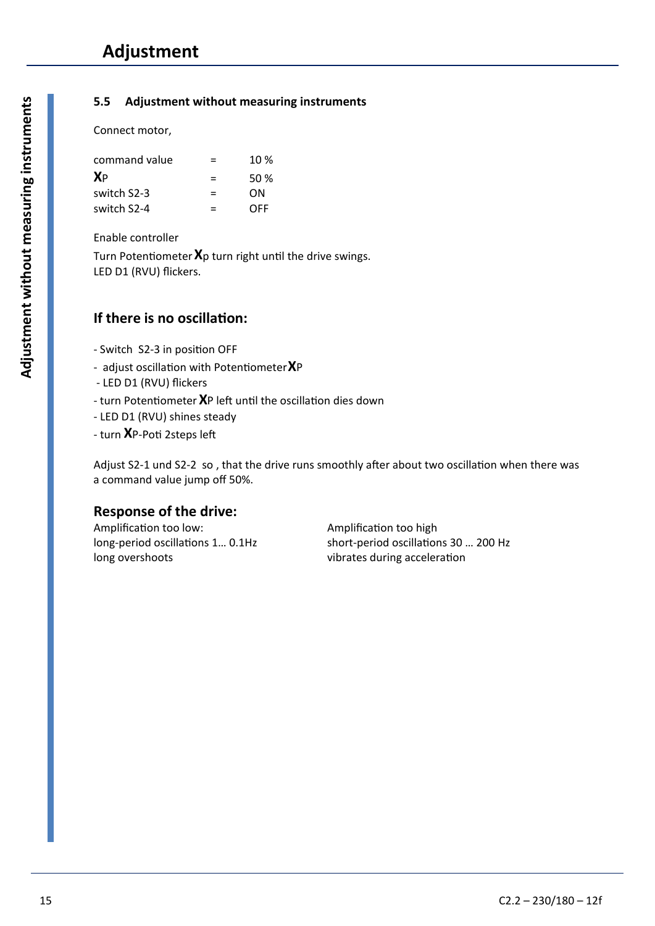#### **5.5 Adjustment without measuring instruments**

Connect motor,

| command value | =   | 10% |
|---------------|-----|-----|
| <b>X</b> P    |     | 50% |
| switch S2-3   |     | ΩN  |
| switch S2-4   | $=$ | OFF |

Enable controller Turn Potentiometer **X**p turn right until the drive swings. LED D1 (RVU) flickers.

### **If there is no oscillation:**

- Switch S2-3 in position OFF
- adjust oscillation with Potentiometer **X**P
- LED D1 (RVU) flickers
- turn Potentiometer **X**P left until the oscillation dies down
- LED D1 (RVU) shines steady
- turn **X**P-Poti 2steps left

Adjust S2-1 und S2-2 so , that the drive runs smoothly after about two oscillation when there was a command value jump off 50%.

### **Response of the drive:**

Amplification too low: Amplification too high long overshoots vibrates during acceleration

long-period oscillations 1… 0.1Hz short-period oscillations 30 … 200 Hz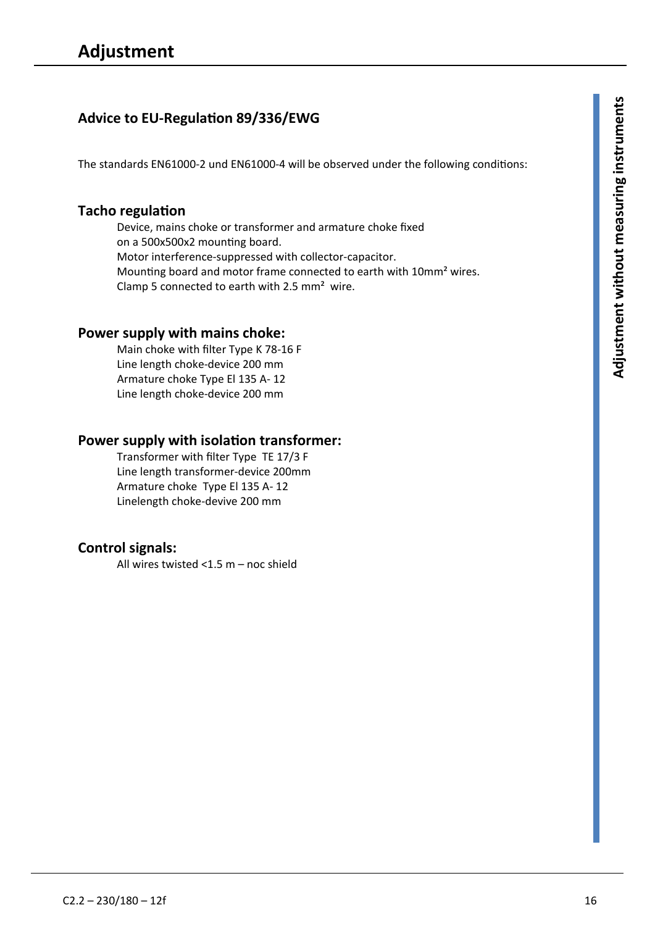### **Advice to EU-Regulation 89/336/EWG**

The standards EN61000-2 und EN61000-4 will be observed under the following conditions:

### **Tacho regulation**

Device, mains choke or transformer and armature choke fixed on a 500x500x2 mounting board. Motor interference-suppressed with collector-capacitor. Mounting board and motor frame connected to earth with 10mm² wires. Clamp 5 connected to earth with 2.5 mm² wire.

#### **Power supply with mains choke:**

Main choke with filter Type K 78-16 F Line length choke-device 200 mm Armature choke Type El 135 A- 12 Line length choke-device 200 mm

#### **Power supply with isolation transformer:**

Transformer with filter Type TE 17/3 F Line length transformer-device 200mm Armature choke Type El 135 A- 12 Linelength choke-devive 200 mm

### **Control signals:**

All wires twisted <1.5 m – noc shield